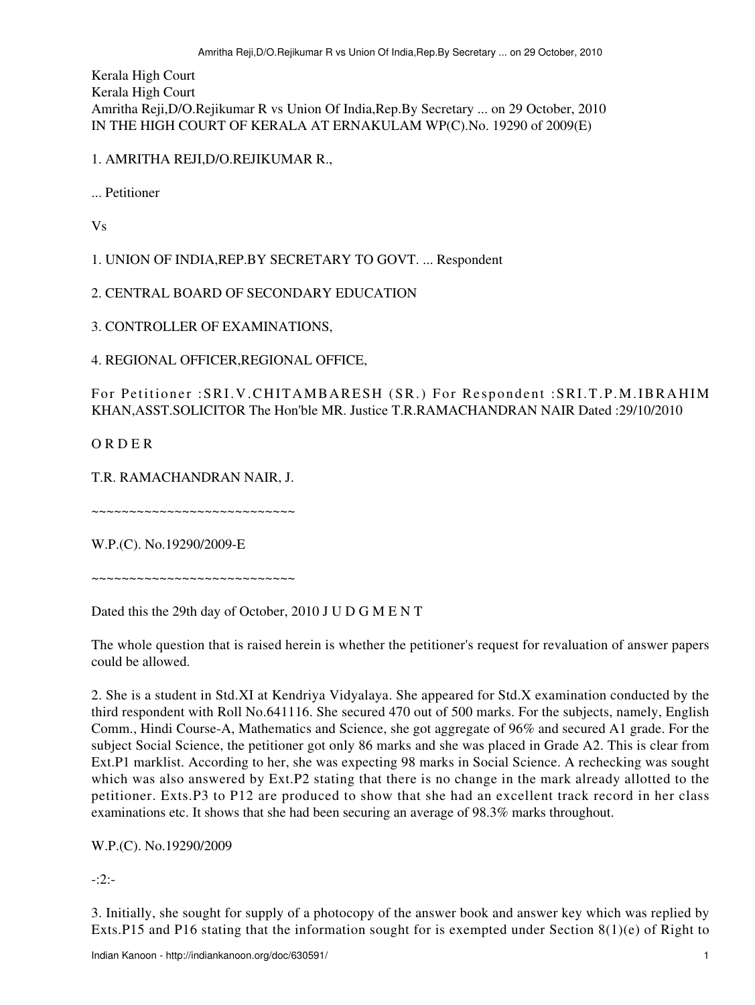Kerala High Court Kerala High Court Amritha Reji,D/O.Rejikumar R vs Union Of India,Rep.By Secretary ... on 29 October, 2010 IN THE HIGH COURT OF KERALA AT ERNAKULAM WP(C).No. 19290 of 2009(E)

## 1. AMRITHA REJI,D/O.REJIKUMAR R.,

... Petitioner

Vs

1. UNION OF INDIA,REP.BY SECRETARY TO GOVT. ... Respondent

2. CENTRAL BOARD OF SECONDARY EDUCATION

3. CONTROLLER OF EXAMINATIONS,

4. REGIONAL OFFICER,REGIONAL OFFICE,

For Petitioner :SRI.V.CHITAMBARESH (SR.) For Respondent :SRI.T.P.M.IBRAHIM KHAN,ASST.SOLICITOR The Hon'ble MR. Justice T.R.RAMACHANDRAN NAIR Dated :29/10/2010

O R D E R

T.R. RAMACHANDRAN NAIR, J.

~~~~~~~~~~~~~~~~~~~~~~~~~~~

W.P.(C). No.19290/2009-E

~~~~~~~~~~~~~~~~~~~~~~~~~~~

Dated this the 29th day of October, 2010 J U D G M E N T

The whole question that is raised herein is whether the petitioner's request for revaluation of answer papers could be allowed.

2. She is a student in Std.XI at Kendriya Vidyalaya. She appeared for Std.X examination conducted by the third respondent with Roll No.641116. She secured 470 out of 500 marks. For the subjects, namely, English Comm., Hindi Course-A, Mathematics and Science, she got aggregate of 96% and secured A1 grade. For the subject Social Science, the petitioner got only 86 marks and she was placed in Grade A2. This is clear from Ext.P1 marklist. According to her, she was expecting 98 marks in Social Science. A rechecking was sought which was also answered by Ext.P2 stating that there is no change in the mark already allotted to the petitioner. Exts.P3 to P12 are produced to show that she had an excellent track record in her class examinations etc. It shows that she had been securing an average of 98.3% marks throughout.

W.P.(C). No.19290/2009

-:2:-

3. Initially, she sought for supply of a photocopy of the answer book and answer key which was replied by Exts.P15 and P16 stating that the information sought for is exempted under Section 8(1)(e) of Right to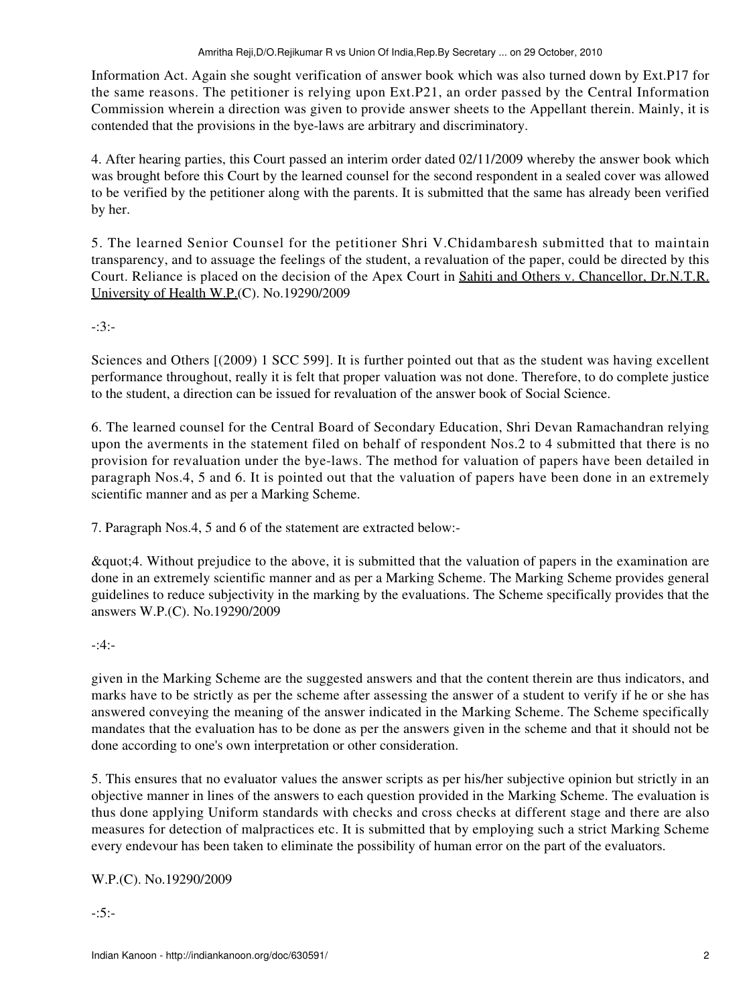Information Act. Again she sought verification of answer book which was also turned down by Ext.P17 for the same reasons. The petitioner is relying upon Ext.P21, an order passed by the Central Information Commission wherein a direction was given to provide answer sheets to the Appellant therein. Mainly, it is contended that the provisions in the bye-laws are arbitrary and discriminatory.

4. After hearing parties, this Court passed an interim order dated 02/11/2009 whereby the answer book which was brought before this Court by the learned counsel for the second respondent in a sealed cover was allowed to be verified by the petitioner along with the parents. It is submitted that the same has already been verified by her.

5. The learned Senior Counsel for the petitioner Shri V.Chidambaresh submitted that to maintain transparency, and to assuage the feelings of the student, a revaluation of the paper, could be directed by this Court. Reliance is placed on the decision of the Apex Court in Sahiti and Others v. Chancellor, Dr.N.T.R. University of Health W.P.(C). No.19290/2009

-:3:-

Sciences and Others [(2009) 1 SCC 599]. It is further pointed out that as the student was having excellent performance throughout, really it is felt that proper valuation was not done. Therefore, to do complete justice to the student, a direction can be issued for revaluation of the answer book of Social Science.

6. The learned counsel for the Central Board of Secondary Education, Shri Devan Ramachandran relying upon the averments in the statement filed on behalf of respondent Nos.2 to 4 submitted that there is no provision for revaluation under the bye-laws. The method for valuation of papers have been detailed in paragraph Nos.4, 5 and 6. It is pointed out that the valuation of papers have been done in an extremely scientific manner and as per a Marking Scheme.

7. Paragraph Nos.4, 5 and 6 of the statement are extracted below:-

"4. Without prejudice to the above, it is submitted that the valuation of papers in the examination are done in an extremely scientific manner and as per a Marking Scheme. The Marking Scheme provides general guidelines to reduce subjectivity in the marking by the evaluations. The Scheme specifically provides that the answers W.P.(C). No.19290/2009

## -:4:-

given in the Marking Scheme are the suggested answers and that the content therein are thus indicators, and marks have to be strictly as per the scheme after assessing the answer of a student to verify if he or she has answered conveying the meaning of the answer indicated in the Marking Scheme. The Scheme specifically mandates that the evaluation has to be done as per the answers given in the scheme and that it should not be done according to one's own interpretation or other consideration.

5. This ensures that no evaluator values the answer scripts as per his/her subjective opinion but strictly in an objective manner in lines of the answers to each question provided in the Marking Scheme. The evaluation is thus done applying Uniform standards with checks and cross checks at different stage and there are also measures for detection of malpractices etc. It is submitted that by employing such a strict Marking Scheme every endevour has been taken to eliminate the possibility of human error on the part of the evaluators.

W.P.(C). No.19290/2009

-:5:-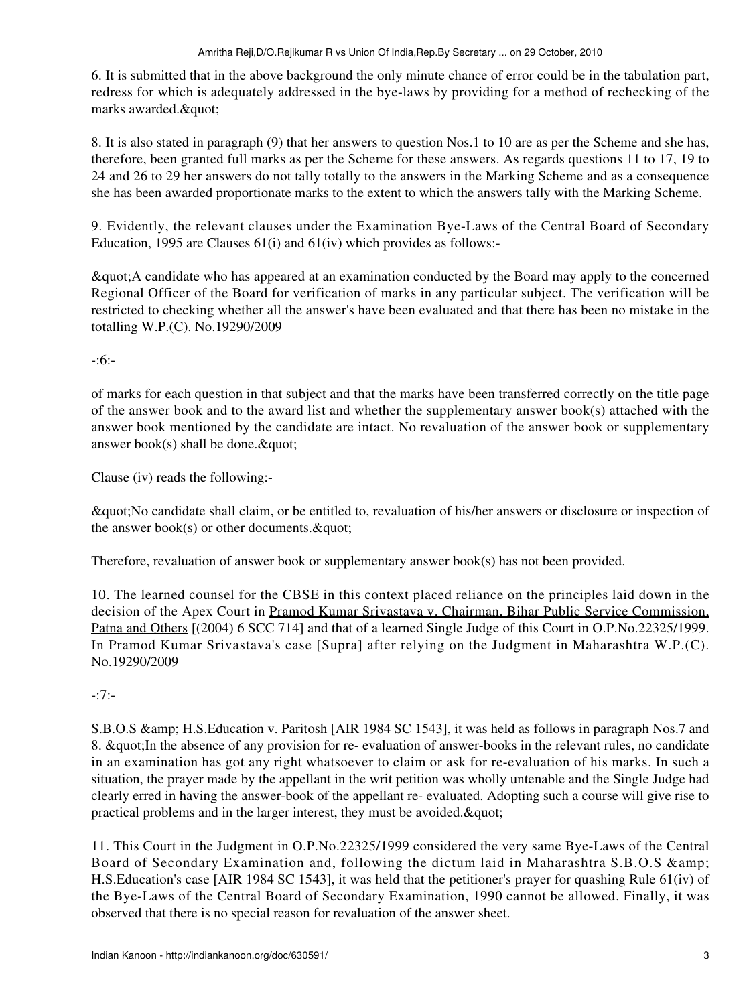6. It is submitted that in the above background the only minute chance of error could be in the tabulation part, redress for which is adequately addressed in the bye-laws by providing for a method of rechecking of the marks awarded. & quot;

8. It is also stated in paragraph (9) that her answers to question Nos.1 to 10 are as per the Scheme and she has, therefore, been granted full marks as per the Scheme for these answers. As regards questions 11 to 17, 19 to 24 and 26 to 29 her answers do not tally totally to the answers in the Marking Scheme and as a consequence she has been awarded proportionate marks to the extent to which the answers tally with the Marking Scheme.

9. Evidently, the relevant clauses under the Examination Bye-Laws of the Central Board of Secondary Education, 1995 are Clauses 61(i) and 61(iv) which provides as follows:-

"A candidate who has appeared at an examination conducted by the Board may apply to the concerned Regional Officer of the Board for verification of marks in any particular subject. The verification will be restricted to checking whether all the answer's have been evaluated and that there has been no mistake in the totalling W.P.(C). No.19290/2009

-:6:-

of marks for each question in that subject and that the marks have been transferred correctly on the title page of the answer book and to the award list and whether the supplementary answer book(s) attached with the answer book mentioned by the candidate are intact. No revaluation of the answer book or supplementary answer book(s) shall be done.  $\&$  quot;

Clause (iv) reads the following:-

"No candidate shall claim, or be entitled to, revaluation of his/her answers or disclosure or inspection of the answer book(s) or other documents.  $\&$  quot;

Therefore, revaluation of answer book or supplementary answer book(s) has not been provided.

10. The learned counsel for the CBSE in this context placed reliance on the principles laid down in the decision of the Apex Court in Pramod Kumar Srivastava v. Chairman, Bihar Public Service Commission, Patna and Others [(2004) 6 SCC 714] and that of a learned Single Judge of this Court in O.P.No.22325/1999. In Pramod Kumar Srivastava's case [Supra] after relying on the Judgment in Maharashtra W.P.(C). No.19290/2009

-:7:-

S.B.O.S & amp; H.S. Education v. Paritosh [AIR 1984 SC 1543], it was held as follows in paragraph Nos.7 and 8. & guot; In the absence of any provision for re- evaluation of answer-books in the relevant rules, no candidate in an examination has got any right whatsoever to claim or ask for re-evaluation of his marks. In such a situation, the prayer made by the appellant in the writ petition was wholly untenable and the Single Judge had clearly erred in having the answer-book of the appellant re- evaluated. Adopting such a course will give rise to practical problems and in the larger interest, they must be avoided.  $\&$  quot;

11. This Court in the Judgment in O.P.No.22325/1999 considered the very same Bye-Laws of the Central Board of Secondary Examination and, following the dictum laid in Maharashtra S.B.O.S & H.S.Education's case [AIR 1984 SC 1543], it was held that the petitioner's prayer for quashing Rule 61(iv) of the Bye-Laws of the Central Board of Secondary Examination, 1990 cannot be allowed. Finally, it was observed that there is no special reason for revaluation of the answer sheet.